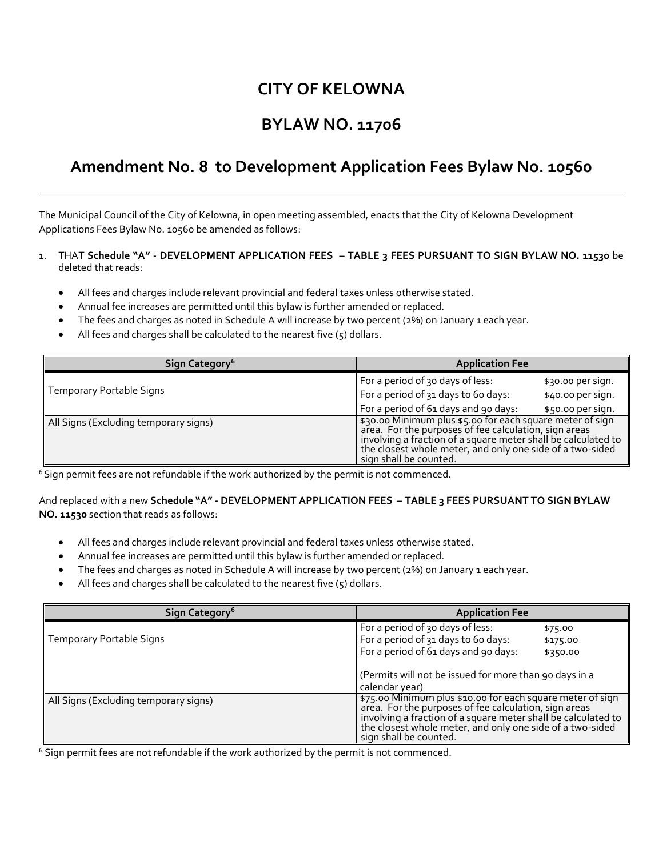# **CITY OF KELOWNA**

# **BYLAW NO. 11706**

### **Amendment No. 8 to Development Application Fees Bylaw No. 10560**

The Municipal Council of the City of Kelowna, in open meeting assembled, enacts that the City of Kelowna Development Applications Fees Bylaw No. 10560 be amended as follows:

#### 1. THAT **Schedule "A" - DEVELOPMENT APPLICATION FEES – TABLE 3 FEES PURSUANT TO SIGN BYLAW NO. 11530** be deleted that reads:

- All fees and charges include relevant provincial and federal taxes unless otherwise stated.
- Annual fee increases are permitted until this bylaw is further amended or replaced.
- The fees and charges as noted in Schedule A will increase by two percent (2%) on January 1 each year.
- All fees and charges shall be calculated to the nearest five (5) dollars.

| Sign Category <sup>6</sup>            | <b>Application Fee</b>                                                                                                                                                                                                                           |
|---------------------------------------|--------------------------------------------------------------------------------------------------------------------------------------------------------------------------------------------------------------------------------------------------|
| Temporary Portable Signs              | For a period of 30 days of less:<br>\$30.00 per sign.<br>For a period of 31 days to 60 days:<br>\$40.00 per sign.                                                                                                                                |
| All Signs (Excluding temporary signs) | For a period of 61 days and 90 days:<br>\$50.00 per sign.<br>\$30.00 Minimum plus \$5.00 for each square meter of sign<br>area. For the purposes of fee calculation, sign areas<br>involving a fraction of a square meter shall be calculated to |
|                                       | the closest whole meter, and only one side of a two-sided<br>sign shall be counted.                                                                                                                                                              |

 $6$  Sign permit fees are not refundable if the work authorized by the permit is not commenced.

### And replaced with a new **Schedule "A" - DEVELOPMENT APPLICATION FEES – TABLE 3 FEES PURSUANT TO SIGN BYLAW NO. 11530** section that reads as follows:

- All fees and charges include relevant provincial and federal taxes unless otherwise stated.
- Annual fee increases are permitted until this bylaw is further amended or replaced.
- The fees and charges as noted in Schedule A will increase by two percent (2%) on January 1 each year.
- All fees and charges shall be calculated to the nearest five (5) dollars.

| Sign Category <sup>6</sup>            | <b>Application Fee</b>                                                                                                                                                                                                                                                      |
|---------------------------------------|-----------------------------------------------------------------------------------------------------------------------------------------------------------------------------------------------------------------------------------------------------------------------------|
| <b>Temporary Portable Signs</b>       | For a period of 30 days of less:<br>\$75.00<br>For a period of 31 days to 60 days:<br>\$175.00<br>For a period of 61 days and 90 days:<br>\$350.00                                                                                                                          |
|                                       | (Permits will not be issued for more than 90 days in a<br>calendar year)                                                                                                                                                                                                    |
| All Signs (Excluding temporary signs) | \$75.00 Minimum plus \$10.00 for each square meter of sign<br>area. For the purposes of fee calculation, sign areas<br>involving a fraction of a square meter shall be calculated to<br>the closest whole meter, and only one side of a two-sided<br>sign shall be counted. |

 $6$  Sign permit fees are not refundable if the work authorized by the permit is not commenced.